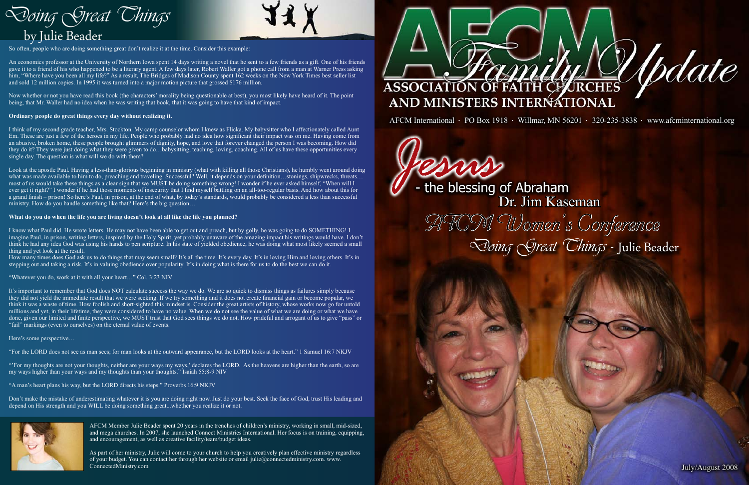

July/August 2008

So often, people who are doing something great don't realize it at the time. Consider this example:

An economics professor at the University of Northern Iowa spent 14 days writing a novel that he sent to a few friends as a gift. One of his friends gave it to a friend of his who happened to be a literary agent. A few days later, Robert Waller got a phone call from a man at Warner Press asking him, "Where have you been all my life?" As a result, The Bridges of Madison County spent 162 weeks on the New York Times best seller list and sold 12 million copies. In 1995 it was turned into a major motion picture that grossed \$176 million.

Now whether or not you have read this book (the characters' morality being questionable at best), you most likely have heard of it. The point being, that Mr. Waller had no idea when he was writing that book, that it was going to have that kind of impact.

#### **Ordinary people do great things every day without realizing it.**

I think of my second grade teacher, Mrs. Stockton. My camp counselor whom I knew as Flicka. My babysitter who I affectionately called Aunt Em. These are just a few of the heroes in my life. People who probably had no idea how significant their impact was on me. Having come from an abusive, broken home, these people brought glimmers of dignity, hope, and love that forever changed the person I was becoming. How did they do it? They were just doing what they were given to do…babysitting, teaching, loving, coaching. All of us have these opportunities every single day. The question is what will we do with them?

How many times does God ask us to do things that may seem small? It's all the time. It's every day. It's in loving Him and loving others. It's in stepping out and taking a risk. It's in valuing obedience over popularity. It's in doing what is there for us to do the best we can do it.

Look at the apostle Paul. Having a less-than-glorious beginning in ministry (what with killing all those Christians), he humbly went around doing what was made available to him to do, preaching and traveling. Successful? Well, it depends on your definition…stonings, shipwrecks, threats… most of us would take these things as a clear sign that we MUST be doing something wrong! I wonder if he ever asked himself, "When will I ever get it right?" I wonder if he had those moments of insecurity that I find myself battling on an all-too-regular basis. And how about this for a grand finish – prison! So here's Paul, in prison, at the end of what, by today's standards, would probably be considered a less than successful ministry. How do you handle something like that? Here's the big question…

#### **What do you do when the life you are living doesn't look at all like the life you planned?**

Doing Great Chings by Julie Beader

I know what Paul did. He wrote letters. He may not have been able to get out and preach, but by golly, he was going to do SOMETHING! I imagine Paul, in prison, writing letters, inspired by the Holy Spirit, yet probably unaware of the amazing impact his writings would have. I don't think he had any idea God was using his hands to pen scripture. In his state of yielded obedience, he was doing what most likely seemed a small thing and yet look at the result.

"Whatever you do, work at it with all your heart…" Col. 3:23 NIV

It's important to remember that God does NOT calculate success the way we do. We are so quick to dismiss things as failures simply because they did not yield the immediate result that we were seeking. If we try something and it does not create financial gain or become popular, we think it was a waste of time. How foolish and short-sighted this mindset is. Consider the great artists of history, whose works now go for untold millions and yet, in their lifetime, they were considered to have no value. When we do not see the value of what we are doing or what we have done, given our limited and finite perspective, we MUST trust that God sees things we do not. How prideful and arrogant of us to give "pass" or "fail" markings (even to ourselves) on the eternal value of events.

Here's some perspective…

"For the LORD does not see as man sees; for man looks at the outward appearance, but the LORD looks at the heart." 1 Samuel 16:7 NKJV

"'For my thoughts are not your thoughts, neither are your ways my ways,' declares the LORD. As the heavens are higher than the earth, so are my ways higher than your ways and my thoughts than your thoughts." Isaiah 55:8-9 NIV

"A man's heart plans his way, but the LORD directs his steps." Proverbs 16:9 NKJV

Don't make the mistake of underestimating whatever it is you are doing right now. Just do your best. Seek the face of God, trust His leading and depend on His strength and you WILL be doing something great...whether you realize it or not.



AFCM Member Julie Beader spent 20 years in the trenches of children's ministry, working in small, mid-sized, and mega churches. In 2007, she launched Connect Ministries International. Her focus is on training, equipping, and encouragement, as well as creative facility/team/budget ideas.

As part of her ministry, Julie will come to your church to help you creatively plan effective ministry regardless of your budget. You can contact her through her website or email julie@connectedministry.com. www. ConnectedMinistry.com



AFCM International · PO Box 1918 · Willmar, MN 56201 · 320-235-3838 · www.afcminternational.org

**Jesus**<br>
- the blessing of Abraham

Dr. Jim Kaseman

Doing Great Things - Julie Beader